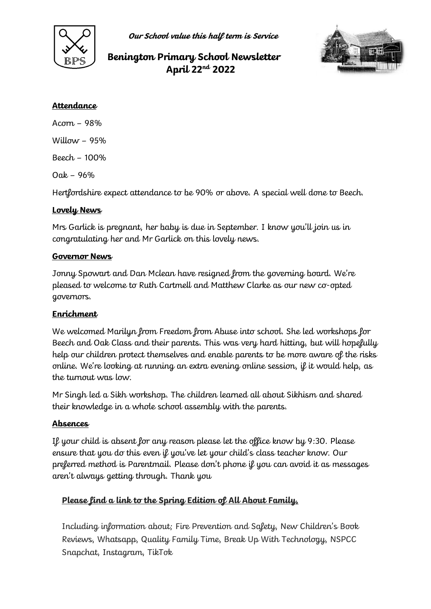

**Our School value this half term is Service**

# **Benington Primary School Newsletter April 22nd 2022**



### **Attendance**

Acorn – 98% Willow  $-95%$ 

Beech – 100%

Oak – 96%

Hertfordshire expect attendance to be 90% or above. A special well done to Beech.

## **Lovely News**

Mrs Garlick is pregnant, her baby is due in September. I know you'll join us in congratulating her and Mr Garlick on this lovely news.

## **Governor News**

Jonny Spowart and Dan Mclean have resigned from the governing board. We're pleased to welcome to Ruth Cartmell and Matthew Clarke as our new co-opted governors.

## **Enrichment**

We welcomed Marilyn from Freedom from Abuse into school. She led workshops for Beech and Oak Class and their parents. This was very hard hitting, but will hopefully help our children protect themselves and enable parents to be more aware of the risks online. We're looking at running an extra evening online session, if it would help, as the turnout was low.

Mr Singh led a Sikh workshop. The children learned all about Sikhism and shared their knowledge in a whole school assembly with the parents.

## **Absences**

If your child is absent for any reason please let the office know by 9:30. Please ensure that you do this even if you've let your child's class teacher know. Our preferred method is Parentmail. Please don't phone if you can avoid it as messages aren't always getting through. Thank you

## **Please find a link to the Spring Edition of All About Family,**

Including information about; Fire Prevention and Safety, New Children's Book Reviews, Whatsapp, Quality Family Time, Break Up With Technology, NSPCC Snapchat, Instagram, TikTok